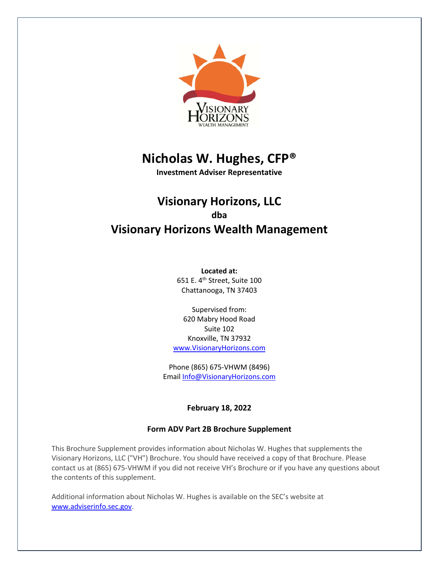

# **Nicholas W. Hughes, CFP®**

**Investment Adviser Representative**

## **Visionary Horizons, LLC dba Visionary Horizons Wealth Management**

**Located at:** 651 E. 4th Street, Suite 100 Chattanooga, TN 37403

Supervised from: 620 Mabry Hood Road Suite 102 Knoxville, TN 37932 www.VisionaryHorizons.com

Phone (865) 675-VHWM (8496) Email Info@VisionaryHorizons.com

## **February 18, 2022**

## **Form ADV Part 2B Brochure Supplement**

This Brochure Supplement provides information about Nicholas W. Hughes that supplements the Visionary Horizons, LLC ("VH") Brochure. You should have received a copy of that Brochure. Please contact us at (865) 675-VHWM if you did not receive VH's Brochure or if you have any questions about the contents of this supplement.

Additional information about Nicholas W. Hughes is available on the SEC's website at www.adviserinfo.sec.gov.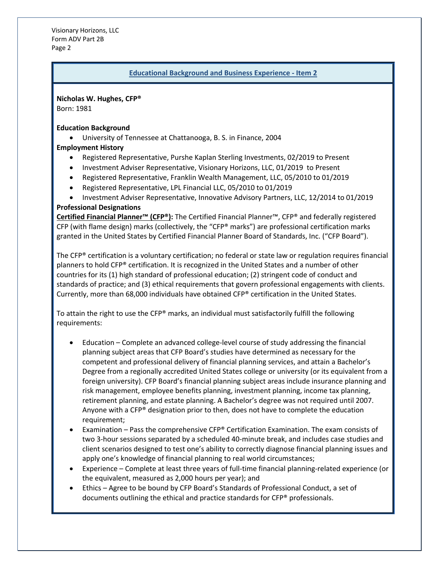Visionary Horizons, LLC Form ADV Part 2B Page 2

#### **Educational Background and Business Experience - Item 2**

**Nicholas W. Hughes, CFP®** Born: 1981

#### **Education Background**

• University of Tennessee at Chattanooga, B. S. in Finance, 2004

#### **Employment History**

- Registered Representative, Purshe Kaplan Sterling Investments, 02/2019 to Present
- Investment Adviser Representative, Visionary Horizons, LLC, 01/2019 to Present
- Registered Representative, Franklin Wealth Management, LLC, 05/2010 to 01/2019
- Registered Representative, LPL Financial LLC, 05/2010 to 01/2019
- Investment Adviser Representative, Innovative Advisory Partners, LLC, 12/2014 to 01/2019

#### **Professional Designations**

**Certified Financial Planner™ (CFP®):** The Certified Financial Planner™, CFP® and federally registered CFP (with flame design) marks (collectively, the "CFP® marks") are professional certification marks granted in the United States by Certified Financial Planner Board of Standards, Inc. ("CFP Board").

The CFP® certification is a voluntary certification; no federal or state law or regulation requires financial planners to hold CFP® certification. It is recognized in the United States and a number of other countries for its (1) high standard of professional education; (2) stringent code of conduct and standards of practice; and (3) ethical requirements that govern professional engagements with clients. Currently, more than 68,000 individuals have obtained CFP® certification in the United States.

To attain the right to use the CFP® marks, an individual must satisfactorily fulfill the following requirements:

- Education Complete an advanced college-level course of study addressing the financial planning subject areas that CFP Board's studies have determined as necessary for the competent and professional delivery of financial planning services, and attain a Bachelor's Degree from a regionally accredited United States college or university (or its equivalent from a foreign university). CFP Board's financial planning subject areas include insurance planning and risk management, employee benefits planning, investment planning, income tax planning, retirement planning, and estate planning. A Bachelor's degree was not required until 2007. Anyone with a CFP® designation prior to then, does not have to complete the education requirement;
- Examination Pass the comprehensive CFP® Certification Examination. The exam consists of two 3-hour sessions separated by a scheduled 40-minute break, and includes case studies and client scenarios designed to test one's ability to correctly diagnose financial planning issues and apply one's knowledge of financial planning to real world circumstances;
- Experience Complete at least three years of full-time financial planning-related experience (or the equivalent, measured as 2,000 hours per year); and
- Ethics Agree to be bound by CFP Board's Standards of Professional Conduct, a set of documents outlining the ethical and practice standards for CFP® professionals.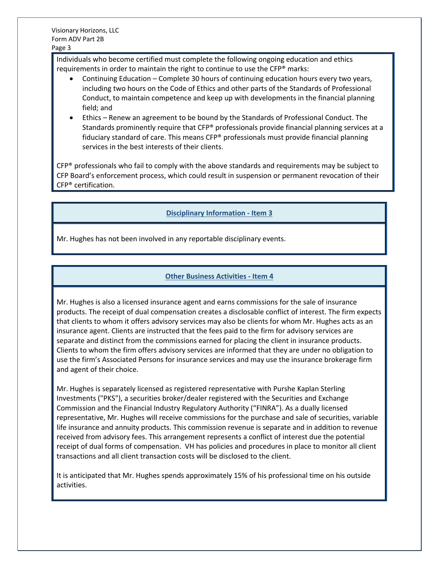Individuals who become certified must complete the following ongoing education and ethics requirements in order to maintain the right to continue to use the CFP® marks:

- Continuing Education Complete 30 hours of continuing education hours every two years, including two hours on the Code of Ethics and other parts of the Standards of Professional Conduct, to maintain competence and keep up with developments in the financial planning field; and
- Ethics Renew an agreement to be bound by the Standards of Professional Conduct. The Standards prominently require that CFP® professionals provide financial planning services at a fiduciary standard of care. This means CFP® professionals must provide financial planning services in the best interests of their clients.

 $CFP<sup>®</sup>$  professionals who fail to comply with the above standards and requirements may be subject to CFP Board's enforcement process, which could result in suspension or permanent revocation of their CFP® certification.

## **Disciplinary Information - Item 3**

Mr. Hughes has not been involved in any reportable disciplinary events.

## **Other Business Activities - Item 4**

Mr. Hughes is also a licensed insurance agent and earns commissions for the sale of insurance products. The receipt of dual compensation creates a disclosable conflict of interest. The firm expects that clients to whom it offers advisory services may also be clients for whom Mr. Hughes acts as an insurance agent. Clients are instructed that the fees paid to the firm for advisory services are separate and distinct from the commissions earned for placing the client in insurance products. Clients to whom the firm offers advisory services are informed that they are under no obligation to use the firm's Associated Persons for insurance services and may use the insurance brokerage firm and agent of their choice.

Mr. Hughes is separately licensed as registered representative with Purshe Kaplan Sterling Investments ("PKS"), a securities broker/dealer registered with the Securities and Exchange Commission and the Financial Industry Regulatory Authority ("FINRA"). As a dually licensed representative, Mr. Hughes will receive commissions for the purchase and sale of securities, variable life insurance and annuity products. This commission revenue is separate and in addition to revenue received from advisory fees. This arrangement represents a conflict of interest due the potential receipt of dual forms of compensation. VH has policies and procedures in place to monitor all client transactions and all client transaction costs will be disclosed to the client.

It is anticipated that Mr. Hughes spends approximately 15% of his professional time on his outside activities.